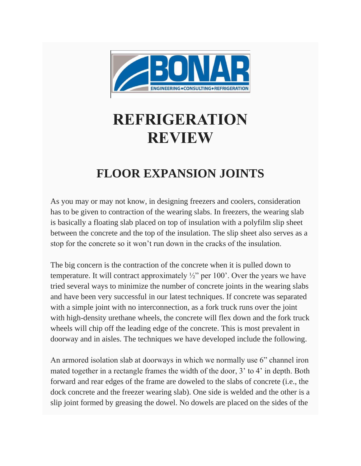

## **REFRIGERATION REVIEW**

## **FLOOR EXPANSION JOINTS**

As you may or may not know, in designing freezers and coolers, consideration has to be given to contraction of the wearing slabs. In freezers, the wearing slab is basically a floating slab placed on top of insulation with a polyfilm slip sheet between the concrete and the top of the insulation. The slip sheet also serves as a stop for the concrete so it won't run down in the cracks of the insulation.

The big concern is the contraction of the concrete when it is pulled down to temperature. It will contract approximately  $\frac{1}{2}$  per 100'. Over the years we have tried several ways to minimize the number of concrete joints in the wearing slabs and have been very successful in our latest techniques. If concrete was separated with a simple joint with no interconnection, as a fork truck runs over the joint with high-density urethane wheels, the concrete will flex down and the fork truck wheels will chip off the leading edge of the concrete. This is most prevalent in doorway and in aisles. The techniques we have developed include the following.

An armored isolation slab at doorways in which we normally use 6" channel iron mated together in a rectangle frames the width of the door, 3' to 4' in depth. Both forward and rear edges of the frame are doweled to the slabs of concrete (i.e., the dock concrete and the freezer wearing slab). One side is welded and the other is a slip joint formed by greasing the dowel. No dowels are placed on the sides of the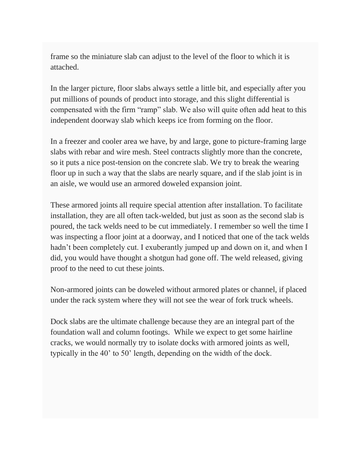frame so the miniature slab can adjust to the level of the floor to which it is attached.

In the larger picture, floor slabs always settle a little bit, and especially after you put millions of pounds of product into storage, and this slight differential is compensated with the firm "ramp" slab. We also will quite often add heat to this independent doorway slab which keeps ice from forming on the floor.

In a freezer and cooler area we have, by and large, gone to picture-framing large slabs with rebar and wire mesh. Steel contracts slightly more than the concrete, so it puts a nice post-tension on the concrete slab. We try to break the wearing floor up in such a way that the slabs are nearly square, and if the slab joint is in an aisle, we would use an armored doweled expansion joint.

These armored joints all require special attention after installation. To facilitate installation, they are all often tack-welded, but just as soon as the second slab is poured, the tack welds need to be cut immediately. I remember so well the time I was inspecting a floor joint at a doorway, and I noticed that one of the tack welds hadn't been completely cut. I exuberantly jumped up and down on it, and when I did, you would have thought a shotgun had gone off. The weld released, giving proof to the need to cut these joints.

Non-armored joints can be doweled without armored plates or channel, if placed under the rack system where they will not see the wear of fork truck wheels.

Dock slabs are the ultimate challenge because they are an integral part of the foundation wall and column footings. While we expect to get some hairline cracks, we would normally try to isolate docks with armored joints as well, typically in the 40' to 50' length, depending on the width of the dock.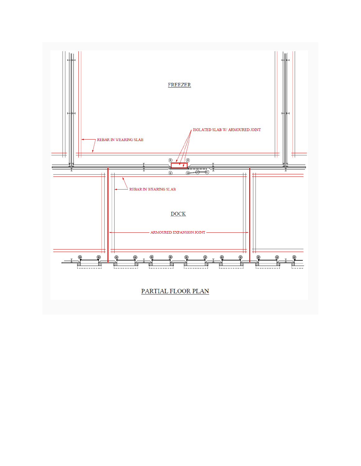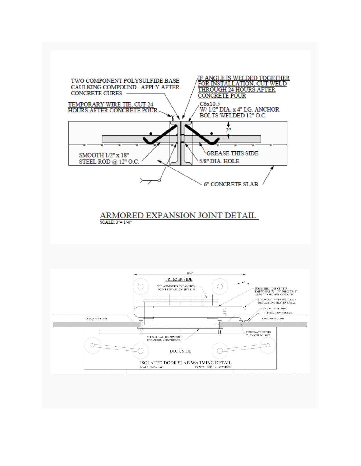